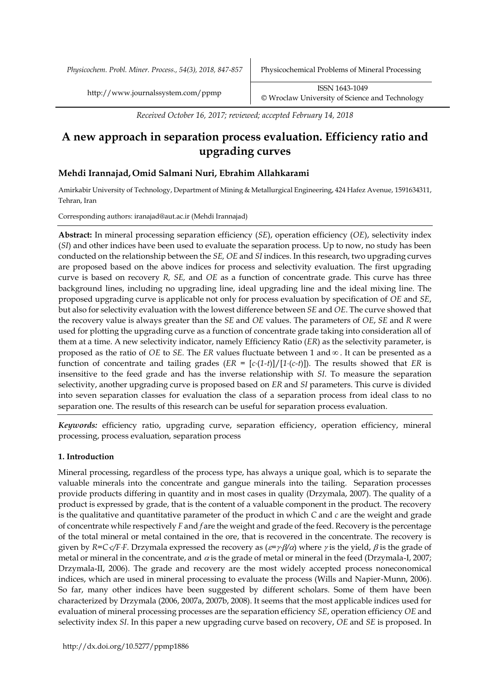*Physicochem. Probl. Miner. Process., 54(3), 2018, 847-857* Physicochemical Problems of Mineral Processing

*Received October 16, 2017; reviewed; accepted February 14, 2018*

# **A new approach in separation process evaluation. Efficiency ratio and upgrading curves**

# **Mehdi Irannajad, Omid Salmani Nuri, Ebrahim Allahkarami**

Amirkabir University of Technology, Department of Mining & Metallurgical Engineering, 424 Hafez Avenue, 1591634311, Tehran, Iran

Corresponding authors: iranajad@aut.ac.ir (Mehdi Irannajad)

**Abstract:** In mineral processing separation efficiency (*SE*), operation efficiency (*OE*), selectivity index (*SI*) and other indices have been used to evaluate the separation process. Up to now, no study has been conducted on the relationship between the *SE, OE* and *SI* indices. In this research, two upgrading curves are proposed based on the above indices for process and selectivity evaluation. The first upgrading curve is based on recovery *R, SE,* and *OE* as a function of concentrate grade. This curve has three background lines, including no upgrading line, ideal upgrading line and the ideal mixing line. The proposed upgrading curve is applicable not only for process evaluation by specification of *OE* and *SE*, but also for selectivity evaluation with the lowest difference between *SE* and *OE*. The curve showed that the recovery value is always greater than the *SE* and *OE* values. The parameters of *OE*, *SE* and *R* were used for plotting the upgrading curve as a function of concentrate grade taking into consideration all of them at a time. A new selectivity indicator, namely Efficiency Ratio (*ER*) as the selectivity parameter, is proposed as the ratio of *OE* to *SE*. The *ER* values fluctuate between 1 and . It can be presented as a function of concentrate and tailing grades  $(ER = [c \cdot (1-t)]/[1 \cdot (c-t)]$ . The results showed that *ER* is insensitive to the feed grade and has the inverse relationship with *SI*. To measure the separation selectivity, another upgrading curve is proposed based on *ER* and *SI* parameters. This curve is divided into seven separation classes for evaluation the class of a separation process from ideal class to no separation one. The results of this research can be useful for separation process evaluation.

*Keywords:* efficiency ratio, upgrading curve, separation efficiency, operation efficiency, mineral processing, process evaluation, separation process

# **1. Introduction**

Mineral processing, regardless of the process type, has always a unique goal, which is to separate the valuable minerals into the concentrate and gangue minerals into the tailing. Separation processes provide products differing in quantity and in most cases in quality (Drzymala, 2007). The quality of a product is expressed by grade, that is the content of a valuable component in the product. The recovery is the qualitative and quantitative parameter of the product in which *C* and *c* are the weight and grade of concentrate while respectively *F* and *f* are the weight and grade of the feed. Recovery is the percentage of the total mineral or metal contained in the ore, that is recovered in the concentrate. The recovery is given by *R=Cc*/*F·F*. Drzymala expressed the recovery as  $(\varepsilon = \gamma \cdot \beta/\alpha)$  where  $\gamma$  is the yield,  $\beta$  is the grade of metal or mineral in the concentrate, and  $\alpha$  is the grade of metal or mineral in the feed (Drzymala-I, 2007; Drzymala-II, 2006). The grade and recovery are the most widely accepted process noneconomical indices, which are used in mineral processing to evaluate the process (Wills and Napier-Munn, 2006). So far, many other indices have been suggested by different scholars. Some of them have been characterized by Drzymala (2006, 2007a, 2007b, 2008). It seems that the most applicable indices used for evaluation of mineral processing processes are the separation efficiency *SE*, operation efficiency *OE* and selectivity index *SI*. In this paper a new upgrading curve based on recovery, *OE* and *SE* is proposed. In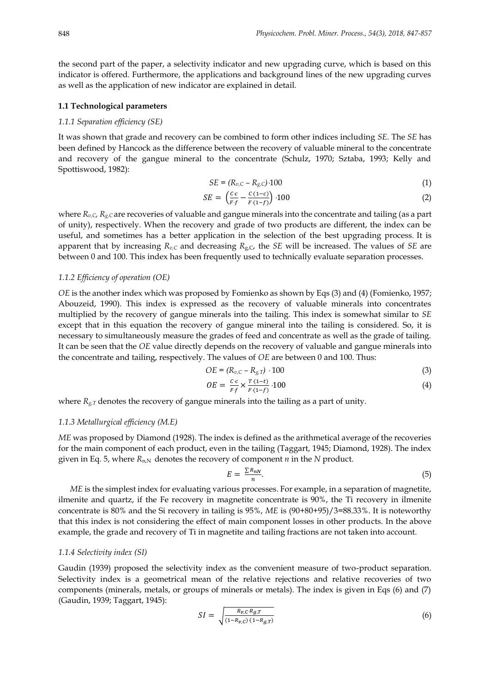the second part of the paper, a selectivity indicator and new upgrading curve, which is based on this indicator is offered. Furthermore, the applications and background lines of the new upgrading curves as well as the application of new indicator are explained in detail.

## **1.1 Technological parameters**

#### *1.1.1 Separation efficiency (SE)*

It was shown that grade and recovery can be combined to form other indices including *SE*. The *SE* has been defined by Hancock as the difference between the recovery of valuable mineral to the concentrate and recovery of the gangue mineral to the concentrate (Schulz, 1970; Sztaba, 1993; Kelly and Spottiswood, 1982):

$$
SE = (R_{v,C} - R_{g,C}) \cdot 100 \tag{1}
$$

$$
SE = \left(\frac{c \cdot c}{F \cdot f} - \frac{c \cdot (1 - c)}{F \cdot (1 - f)}\right) \cdot 100\tag{2}
$$

where *Rv,C, Rg,C* are recoveries of valuable and gangue minerals into the concentrate and tailing (as a part of unity), respectively. When the recovery and grade of two products are different, the index can be useful, and sometimes has a better application in the selection of the best upgrading process. It is apparent that by increasing *Rv,C* and decreasing *R*g,C, the *SE* will be increased. The values of *SE* are between 0 and 100. This index has been frequently used to technically evaluate separation processes.

#### *1.1.2 Efficiency of operation (OE)*

*OE* is the another index which was proposed by Fomienko as shown by Eqs (3) and (4) (Fomienko, 1957; Abouzeid, 1990). This index is expressed as the recovery of valuable minerals into concentrates multiplied by the recovery of gangue minerals into the tailing. This index is somewhat similar to *SE* except that in this equation the recovery of gangue mineral into the tailing is considered. So, it is necessary to simultaneously measure the grades of feed and concentrate as well as the grade of tailing. It can be seen that the *OE* value directly depends on the recovery of valuable and gangue minerals into the concentrate and tailing, respectively. The values of *OE* are between 0 and 100. Thus:

$$
OE = (R_{v,C} - R_{g,T}) \cdot 100 \tag{3}
$$

$$
OE = \frac{c \cdot c}{F \cdot f} \times \frac{T \cdot (1 - t)}{F \cdot (1 - f)} \cdot 100 \tag{4}
$$

where  $R_{g,T}$  denotes the recovery of gangue minerals into the tailing as a part of unity.

## *1.1.3 Metallurgical efficiency (M.E)*

*ME* was proposed by Diamond (1928). The index is defined as the arithmetical average of the recoveries for the main component of each product, even in the tailing (Taggart, 1945; Diamond, 1928). The index given in Eq. 5, where  $R_{n,N}$  denotes the recovery of component *n* in the *N* product.

$$
E = \frac{\sum R_{nN}}{n}.\tag{5}
$$

*ME* is the simplest index for evaluating various processes. For example, in a separation of magnetite, ilmenite and quartz, if the Fe recovery in magnetite concentrate is 90%, the Ti recovery in ilmenite concentrate is 80% and the Si recovery in tailing is 95%, *ME* is (90+80+95)/3=88.33%. It is noteworthy that this index is not considering the effect of main component losses in other products. In the above example, the grade and recovery of Ti in magnetite and tailing fractions are not taken into account.

# *1.1.4 Selectivity index (SI)*

Gaudin (1939) proposed the selectivity index as the convenient measure of two-product separation. Selectivity index is a geometrical mean of the relative rejections and relative recoveries of two components (minerals, metals, or groups of minerals or metals). The index is given in Eqs (6) and (7) (Gaudin, 1939; Taggart, 1945):

$$
SI = \sqrt{\frac{R_{v,C} R_{g,T}}{(1 - R_{v,C}) (1 - R_{g,T})}}
$$
(6)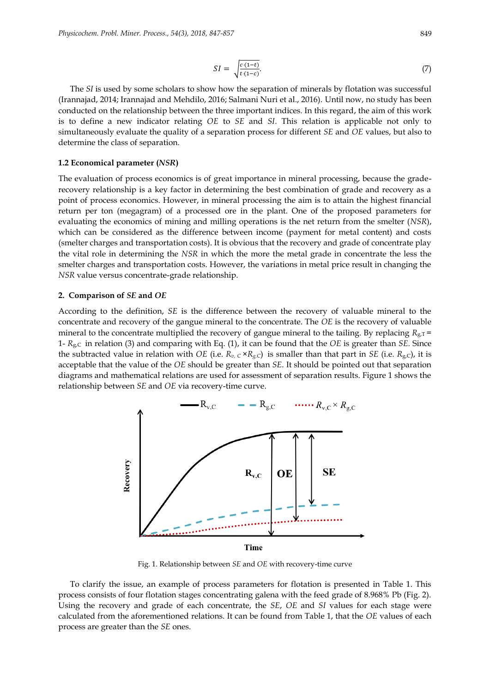$$
SI = \sqrt{\frac{c \cdot (1-t)}{t \cdot (1-c)}}.\tag{7}
$$

The *SI* is used by some scholars to show how the separation of minerals by flotation was successful (Irannajad, 2014; Irannajad and Mehdilo, 2016; Salmani Nuri et al., 2016). Until now, no study has been conducted on the relationship between the three important indices. In this regard, the aim of this work is to define a new indicator relating *OE* to *SE* and *SI*. This relation is applicable not only to simultaneously evaluate the quality of a separation process for different *SE* and *OE* values, but also to determine the class of separation.

#### **1.2 Economical parameter (***NSR***)**

The evaluation of process economics is of great importance in mineral processing, because the graderecovery relationship is a key factor in determining the best combination of grade and recovery as a point of process economics. However, in mineral processing the aim is to attain the highest financial return per ton (megagram) of a processed ore in the plant. One of the proposed parameters for evaluating the economics of mining and milling operations is the net return from the smelter (*NSR*), which can be considered as the difference between income (payment for metal content) and costs (smelter charges and transportation costs). It is obvious that the recovery and grade of concentrate play the vital role in determining the *NSR* in which the more the metal grade in concentrate the less the smelter charges and transportation costs. However, the variations in metal price result in changing the *NSR* value versus concentrate-grade relationship.

#### **2. Comparison of** *SE* **and** *OE*

According to the definition, *SE* is the difference between the recovery of valuable mineral to the concentrate and recovery of the gangue mineral to the concentrate. The *OE* is the recovery of valuable mineral to the concentrate multiplied the recovery of gangue mineral to the tailing. By replacing  $R_{g,T}$  = 1- *R*g,C in relation (3) and comparing with Eq. (1), it can be found that the *OE* is greater than *SE*. Since the subtracted value in relation with *OE* (i.e.  $R_v$ ,  $c \times R_g$ , *c*) is smaller than that part in *SE* (i.e.  $R_g$ , *c*), it is acceptable that the value of the *OE* should be greater than *SE*. It should be pointed out that separation diagrams and mathematical relations are used for assessment of separation results. Figure 1 shows the relationship between *SE* and *OE* via recovery-time curve.



Fig. 1. Relationship between *SE* and *OE* with recovery-time curve

To clarify the issue, an example of process parameters for flotation is presented in Table 1. This process consists of four flotation stages concentrating galena with the feed grade of 8.968% Pb (Fig. 2). Using the recovery and grade of each concentrate, the *SE*, *OE* and *SI* values for each stage were calculated from the aforementioned relations. It can be found from Table 1, that the *OE* values of each process are greater than the *SE* ones.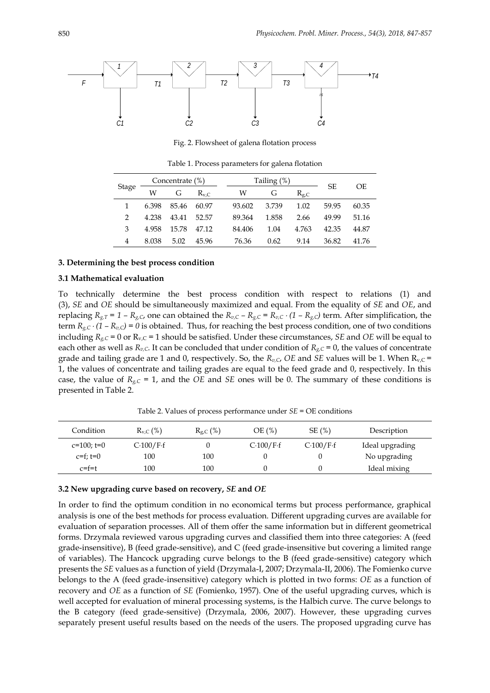

Fig. 2. Flowsheet of galena flotation process

Stage Concentrate  $(\%)$  Tailing  $(\%)$ SE OE W G  $\text{R}_{\text{v},\text{C}}$  W G  $\text{R}_{\text{g},\text{C}}$ 1 6.398 85.46 60.97 93.602 3.739 1.02 59.95 60.35 2 4.238 43.41 52.57 89.364 1.858 2.66 49.99 51.16 3 4.958 15.78 47.12 84.406 1.04 4.763 42.35 44.87 4 8.038 5.02 45.96 76.36 0.62 9.14 36.82 41.76

Table 1. Process parameters for galena flotation

#### **3. Determining the best process condition**

#### **3.1 Mathematical evaluation**

To technically determine the best process condition with respect to relations (1) and (3), *SE* and *OE* should be simultaneously maximized and equal. From the equality of *SE* and *OE*, and replacing  $R_{g,T} = 1 - R_{g,C}$ , one can obtained the  $R_{v,C} - R_{g,C} = R_{v,C} \cdot (1 - R_{g,C})$  term. After simplification, the term  $R_{g,C} \cdot (1 - R_{v,C}) = 0$  is obtained. Thus, for reaching the best process condition, one of two conditions including  $R_{g,C}$  = 0 or  $R_{v,C}$  = 1 should be satisfied. Under these circumstances, *SE* and *OE* will be equal to each other as well as  $R_{v,C}$ . It can be concluded that under condition of  $R_{g,C} = 0$ , the values of concentrate grade and tailing grade are 1 and 0, respectively. So, the  $R_{v,C}$ , *OE* and *SE* values will be 1. When  $R_{v,C}$  = 1, the values of concentrate and tailing grades are equal to the feed grade and 0, respectively. In this case, the value of  $R_{g,C} = 1$ , and the *OE* and *SE* ones will be 0. The summary of these conditions is presented in Table 2.

Table 2. Values of process performance under *SE* = OE conditions

| Condition     | $R_{v,C}$ (%) | $R_{g,C}$ (%) | OE(%)     | SE(%)       | Description     |
|---------------|---------------|---------------|-----------|-------------|-----------------|
| $c=100; t=0$  | C-100/F-f     |               | C·100/F·f | $C.100/F-f$ | Ideal upgrading |
| $c=f$ : $t=0$ | 100           | 100           |           |             | No upgrading    |
| c=f=t         | 100           | 100           |           |             | Ideal mixing    |

# **3.2 New upgrading curve based on recovery,** *SE* **and** *OE*

In order to find the optimum condition in no economical terms but process performance, graphical analysis is one of the best methods for process evaluation. Different upgrading curves are available for evaluation of separation processes. All of them offer the same information but in different geometrical forms. Drzymala reviewed varous upgrading curves and classified them into three categories: A (feed grade-insensitive), B (feed grade-sensitive), and C (feed grade-insensitive but covering a limited range of variables). The Hancock upgrading curve belongs to the B (feed grade-sensitive) category which presents the *SE* values as a function of yield (Drzymala-I, 2007; Drzymala-II, 2006). The Fomienko curve belongs to the A (feed grade-insensitive) category which is plotted in two forms: *OE* as a function of recovery and *OE* as a function of *SE* (Fomienko, 1957). One of the useful upgrading curves, which is well accepted for evaluation of mineral processing systems, is the Halbich curve. The curve belongs to the B category (feed grade-sensitive) (Drzymala, 2006, 2007). However, these upgrading curves separately present useful results based on the needs of the users. The proposed upgrading curve has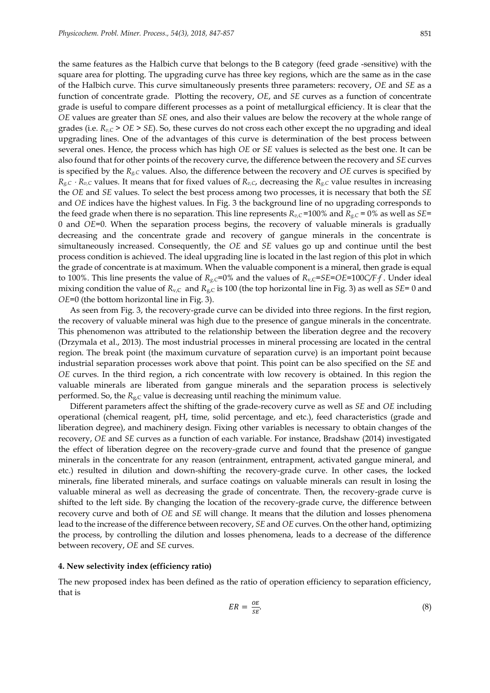the same features as the Halbich curve that belongs to the B category (feed grade -sensitive) with the square area for plotting. The upgrading curve has three key regions, which are the same as in the case of the Halbich curve. This curve simultaneously presents three parameters: recovery, *OE* and *SE* as a function of concentrate grade. Plotting the recovery, *OE*, and *SE* curves as a function of concentrate grade is useful to compare different processes as a point of metallurgical efficiency. It is clear that the *OE* values are greater than *SE* ones, and also their values are below the recovery at the whole range of grades (i.e.  $R_{v,C}$  >  $OE$  >  $SE$ ). So, these curves do not cross each other except the no upgrading and ideal upgrading lines. One of the advantages of this curve is determination of the best process between several ones. Hence, the process which has high *OE* or *SE* values is selected as the best one. It can be also found that for other points of the recovery curve, the difference between the recovery and *SE* curves is specified by the  $R_{g,C}$  values. Also, the difference between the recovery and *OE* curves is specified by  $R_{g,C} \cdot R_{v,C}$  values. It means that for fixed values of  $R_{v,C}$ , decreasing the  $R_{g,C}$  value resultes in increasing the *OE* and *SE* values. To select the best process among two processes, it is necessary that both the *SE*  and *OE* indices have the highest values. In Fig. 3 the background line of no upgrading corresponds to the feed grade when there is no separation. This line represents  $R_{v,C}$ =100% and  $R_{g,C}$  = 0% as well as *SE*= 0 and *OE*=0. When the separation process begins, the recovery of valuable minerals is gradually decreasing and the concentrate grade and recovery of gangue minerals in the concentrate is simultaneously increased. Consequently, the *OE* and *SE* values go up and continue until the best process condition is achieved. The ideal upgrading line is located in the last region of this plot in which the grade of concentrate is at maximum. When the valuable component is a mineral, then grade is equal to 100%. This line presents the value of  $R_{g,C}=0\%$  and the values of  $R_{v,C}=SE=OE=100C/Ff$ . Under ideal mixing condition the value of  $R_{v,C}$  and  $R_{g,C}$  is 100 (the top horizontal line in Fig. 3) as well as  $SE=0$  and *OE*=0 (the bottom horizontal line in Fig. 3).

As seen from Fig. 3, the recovery-grade curve can be divided into three regions. In the first region, the recovery of valuable mineral was high due to the presence of gangue minerals in the concentrate. This phenomenon was attributed to the relationship between the liberation degree and the recovery (Drzymala et al., 2013). The most industrial processes in mineral processing are located in the central region. The break point (the maximum curvature of separation curve) is an important point because industrial separation processes work above that point. This point can be also specified on the *SE* and *OE* curves. In the third region, a rich concentrate with low recovery is obtained. In this region the valuable minerals are liberated from gangue minerals and the separation process is selectively performed. So, the  $R_{g,C}$  value is decreasing until reaching the minimum value.

Different parameters affect the shifting of the grade-recovery curve as well as *SE* and *OE* including operational (chemical reagent, pH, time, solid percentage, and etc.), feed characteristics (grade and liberation degree), and machinery design. Fixing other variables is necessary to obtain changes of the recovery, *OE* and *SE* curves as a function of each variable. For instance, Bradshaw (2014) investigated the effect of liberation degree on the recovery-grade curve and found that the presence of gangue minerals in the concentrate for any reason (entrainment, entrapment, activated gangue mineral, and etc.) resulted in dilution and down-shifting the recovery-grade curve. In other cases, the locked minerals, fine liberated minerals, and surface coatings on valuable minerals can result in losing the valuable mineral as well as decreasing the grade of concentrate. Then, the recovery-grade curve is shifted to the left side. By changing the location of the recovery-grade curve, the difference between recovery curve and both of *OE* and *SE* will change. It means that the dilution and losses phenomena lead to the increase of the difference between recovery, *SE* and *OE* curves. On the other hand, optimizing the process, by controlling the dilution and losses phenomena, leads to a decrease of the difference between recovery, *OE* and *SE* curves.

#### **4. New selectivity index (efficiency ratio)**

The new proposed index has been defined as the ratio of operation efficiency to separation efficiency, that is

$$
ER = \frac{OE}{SE}.\tag{8}
$$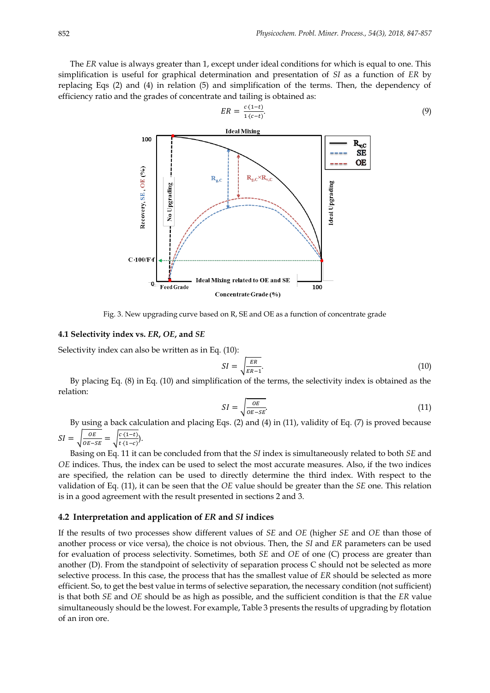The *ER* value is always greater than 1, except under ideal conditions for which is equal to one. This simplification is useful for graphical determination and presentation of *SI* as a function of *ER* by replacing Eqs (2) and (4) in relation (5) and simplification of the terms. Then, the dependency of efficiency ratio and the grades of concentrate and tailing is obtained as:



$$
ER = \frac{c \cdot (1-t)}{1 \cdot (c-t)}.\tag{9}
$$

Fig. 3. New upgrading curve based on R, SE and OE as a function of concentrate grade

#### **4.1 Selectivity index vs.** *ER***,** *OE***, and** *SE*

Selectivity index can also be written as in Eq. (10):

$$
SI = \sqrt{\frac{ER}{ER - 1}}.\tag{10}
$$

By placing Eq. (8) in Eq. (10) and simplification of the terms, the selectivity index is obtained as the relation:

$$
SI = \sqrt{\frac{OE}{OE - SE}}.\tag{11}
$$

By using a back calculation and placing Eqs. (2) and (4) in (11), validity of Eq. (7) is proved because  $SI =$ 0E  $\frac{OE}{OE - SE} = \sqrt{\frac{c \cdot (1-t)}{t \cdot (1-c)}}$  $\frac{c(t-t)}{t(1-c)}$ .

Basing on Eq. 11 it can be concluded from that the *SI* index is simultaneously related to both *SE* and *OE* indices. Thus, the index can be used to select the most accurate measures. Also, if the two indices are specified, the relation can be used to directly determine the third index. With respect to the validation of Eq. (11), it can be seen that the *OE* value should be greater than the *SE* one. This relation is in a good agreement with the result presented in sections 2 and 3.

## **4.2 Interpretation and application of** *ER* **and** *SI* **indices**

If the results of two processes show different values of *SE* and *OE* (higher *SE* and *OE* than those of another process or vice versa), the choice is not obvious. Then, the *SI* and *ER* parameters can be used for evaluation of process selectivity. Sometimes, both *SE* and *OE* of one (C) process are greater than another (D). From the standpoint of selectivity of separation process C should not be selected as more selective process. In this case, the process that has the smallest value of *ER* should be selected as more efficient. So, to get the best value in terms of selective separation, the necessary condition (not sufficient) is that both *SE* and *OE* should be as high as possible, and the sufficient condition is that the *ER* value simultaneously should be the lowest. For example, Table 3 presents the results of upgrading by flotation of an iron ore.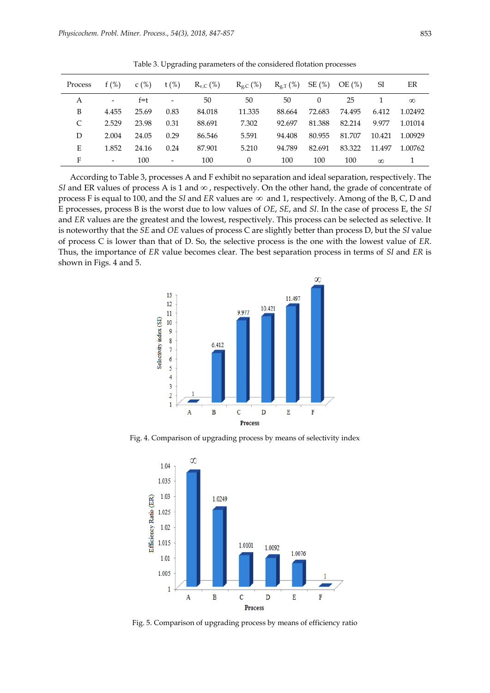| Process | f(%)                     | C(%)    | $t$ (%)                  | $R_{v,C}$ (%) | $R_{g,C}$ (%) | $R_{g,T}(\%)$ | SE(%)    | OE(%)  | SI       | ER       |
|---------|--------------------------|---------|--------------------------|---------------|---------------|---------------|----------|--------|----------|----------|
| А       | $\overline{\phantom{a}}$ | $f = t$ | $\overline{\phantom{a}}$ | 50            | 50            | 50            | $\Omega$ | 25     |          | $\infty$ |
| B       | 4.455                    | 25.69   | 0.83                     | 84.018        | 11.335        | 88.664        | 72.683   | 74.495 | 6.412    | 1.02492  |
| C       | 2.529                    | 23.98   | 0.31                     | 88.691        | 7.302         | 92.697        | 81.388   | 82.214 | 9.977    | 1.01014  |
| D       | 2.004                    | 24.05   | 0.29                     | 86.546        | 5.591         | 94.408        | 80.955   | 81.707 | 10.421   | 1.00929  |
| E       | 1.852                    | 24.16   | 0.24                     | 87.901        | 5.210         | 94.789        | 82.691   | 83.322 | 11.497   | 1.00762  |
| F       | $\overline{\phantom{a}}$ | 100     | $\overline{\phantom{a}}$ | 100           | $\theta$      | 100           | 100      | 100    | $\infty$ |          |

Table 3. Upgrading parameters of the considered flotation processes

According to Table 3, processes A and F exhibit no separation and ideal separation, respectively. The *SI* and ER values of process A is 1 and  $\infty$  , respectively. On the other hand, the grade of concentrate of process F is equal to 100, and the *SI* and *ER* values are and 1, respectively. Among of the B, C, D and E processes, process B is the worst due to low values of *OE*, *SE*, and *SI*. In the case of process E, the *SI*  and *ER* values are the greatest and the lowest, respectively. This process can be selected as selective. It is noteworthy that the *SE* and *OE* values of process C are slightly better than process D, but the *SI* value of process C is lower than that of D. So, the selective process is the one with the lowest value of *ER*. Thus, the importance of *ER* value becomes clear. The best separation process in terms of *SI* and *ER* is shown in Figs. 4 and 5.



Fig. 4. Comparison of upgrading process by means of selectivity index



Fig. 5. Comparison of upgrading process by means of efficiency ratio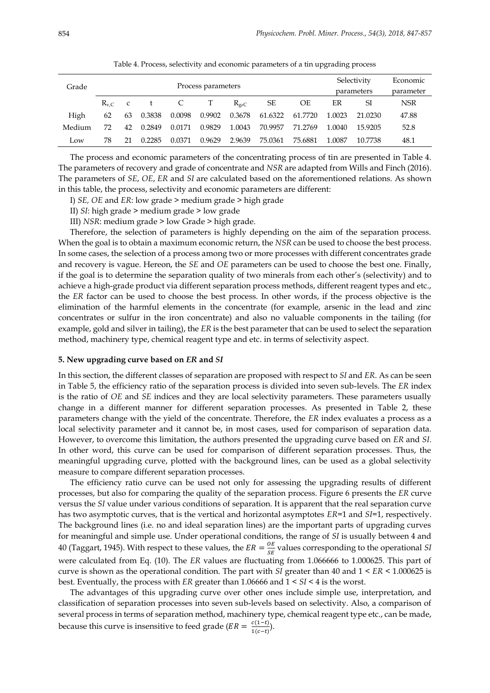|        | Process parameters |              |        |        |        |                 |         | Selectivity |        | Economic  |            |
|--------|--------------------|--------------|--------|--------|--------|-----------------|---------|-------------|--------|-----------|------------|
| Grade  |                    |              |        |        |        |                 |         | parameters  |        | parameter |            |
|        | $R_{v,C}$          | $\mathbf{C}$ |        | C.     | T      | $R_{\varrho,C}$ | SE      | OE          | ER     | SI        | <b>NSR</b> |
| High   | 62                 | 63           | 0.3838 | 0.0098 | 0.9902 | 0.3678          | 61.6322 | 61.7720     | 1.0023 | 21.0230   | 47.88      |
| Medium | 72                 | 42           | 0.2849 | 0.0171 | 0.9829 | 1.0043          | 70.9957 | 71.2769     | 1.0040 | 15.9205   | 52.8       |
| Low    | 78                 |              | 0.2285 | 0.0371 | 0.9629 | 2.9639          | 75.0361 | 75.6881     | 1.0087 | 10.7738   | 48.1       |

Table 4. Process, selectivity and economic parameters of a tin upgrading process

The process and economic parameters of the concentrating process of tin are presented in Table 4. The parameters of recovery and grade of concentrate and *NSR* are adapted from Wills and Finch (2016). The parameters of *SE*, *OE*, *ER* and *SI* are calculated based on the aforementioned relations. As shown in this table, the process, selectivity and economic parameters are different:

I) *SE, OE* and *ER*: low grade > medium grade > high grade

II) *SI*: high grade > medium grade > low grade

III) *NSR*: medium grade > low Grade > high grade.

Therefore, the selection of parameters is highly depending on the aim of the separation process. When the goal is to obtain a maximum economic return, the *NSR* can be used to choose the best process. In some cases, the selection of a process among two or more processes with different concentrates grade and recovery is vague. Hereon, the *SE* and *OE* parameters can be used to choose the best one. Finally, if the goal is to determine the separation quality of two minerals from each other's (selectivity) and to achieve a high-grade product via different separation process methods, different reagent types and etc., the *ER* factor can be used to choose the best process. In other words, if the process objective is the elimination of the harmful elements in the concentrate (for example, arsenic in the lead and zinc concentrates or sulfur in the iron concentrate) and also no valuable components in the tailing (for example, gold and silver in tailing), the *ER* is the best parameter that can be used to select the separation method, machinery type, chemical reagent type and etc. in terms of selectivity aspect.

#### **5. New upgrading curve based on** *ER* **and** *SI*

In this section, the different classes of separation are proposed with respect to *SI* and *ER*. As can be seen in Table 5, the efficiency ratio of the separation process is divided into seven sub-levels. The *ER* index is the ratio of *OE* and *SE* indices and they are local selectivity parameters. These parameters usually change in a different manner for different separation processes. As presented in Table 2, these parameters change with the yield of the concentrate. Therefore, the *ER* index evaluates a process as a local selectivity parameter and it cannot be, in most cases, used for comparison of separation data. However, to overcome this limitation, the authors presented the upgrading curve based on *ER* and *SI*. In other word, this curve can be used for comparison of different separation processes. Thus, the meaningful upgrading curve, plotted with the background lines, can be used as a global selectivity measure to compare different separation processes.

The efficiency ratio curve can be used not only for assessing the upgrading results of different processes, but also for comparing the quality of the separation process. Figure 6 presents the *ER* curve versus the *SI* value under various conditions of separation. It is apparent that the real separation curve has two asymptotic curves, that is the vertical and horizontal asymptotes *ER*=1 and *SI*=1, respectively. The background lines (i.e. no and ideal separation lines) are the important parts of upgrading curves for meaningful and simple use. Under operational conditions, the range of *SI* is usually between 4 and 40 (Taggart, 1945). With respect to these values, the  $ER = \frac{OE}{CE}$  $\frac{\partial L}{\partial s}$  values corresponding to the operational *SI* were calculated from Eq. (10). The *ER* values are fluctuating from 1.066666 to 1.000625. This part of curve is shown as the operational condition. The part with *SI* greater than 40 and 1 < *ER* < 1.000625 is best. Eventually, the process with *ER* greater than 1.06666 and 1 < *SI* < 4 is the worst.

The advantages of this upgrading curve over other ones include simple use, interpretation, and classification of separation processes into seven sub-levels based on selectivity. Also, a comparison of several process in terms of separation method, machinery type, chemical reagent type etc., can be made, because this curve is insensitive to feed grade ( $ER = \frac{c(1-t)}{c(1-t)}$  $\frac{c(t-t)}{1(c-t)}$ .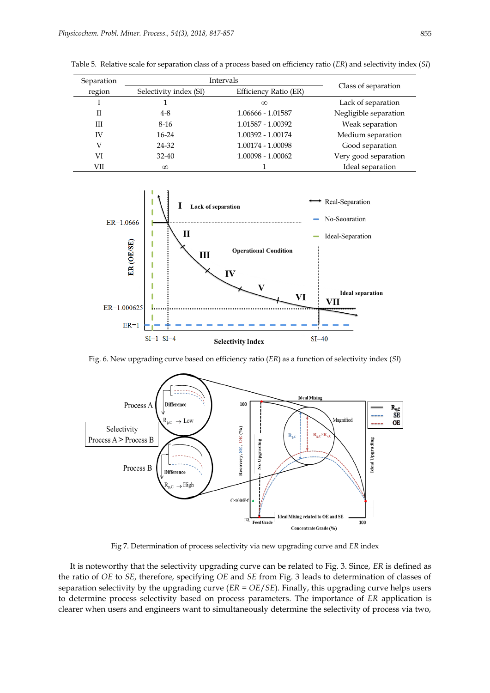| Separation | Intervals              |                       |                       |  |
|------------|------------------------|-----------------------|-----------------------|--|
| region     | Selectivity index (SI) | Efficiency Ratio (ER) | Class of separation   |  |
|            |                        | $\infty$              | Lack of separation    |  |
| Н          | $4 - 8$                | 1.06666 - 1.01587     | Negligible separation |  |
| Ш          | $8-16$                 | 1.01587 - 1.00392     | Weak separation       |  |
| IV         | $16-24$                | 1.00392 - 1.00174     | Medium separation     |  |
| V          | 24-32                  | 1.00174 - 1.00098     | Good separation       |  |
| VI         | 32-40                  | 1.00098 - 1.00062     | Very good separation  |  |
| VІI        | $\infty$               |                       | Ideal separation      |  |

Table 5. Relative scale for separation class of a process based on efficiency ratio (*ER*) and selectivity index (*SI*)



Fig. 6. New upgrading curve based on efficiency ratio (*ER*) as a function of selectivity index (*SI*)



Fig 7. Determination of process selectivity via new upgrading curve and *ER* index

It is noteworthy that the selectivity upgrading curve can be related to Fig. 3. Since, *ER* is defined as the ratio of *OE* to *SE*, therefore, specifying *OE* and *SE* from Fig. 3 leads to determination of classes of separation selectivity by the upgrading curve (*ER* = *OE*/*SE*). Finally, this upgrading curve helps users to determine process selectivity based on process parameters. The importance of *ER* application is clearer when users and engineers want to simultaneously determine the selectivity of process via two,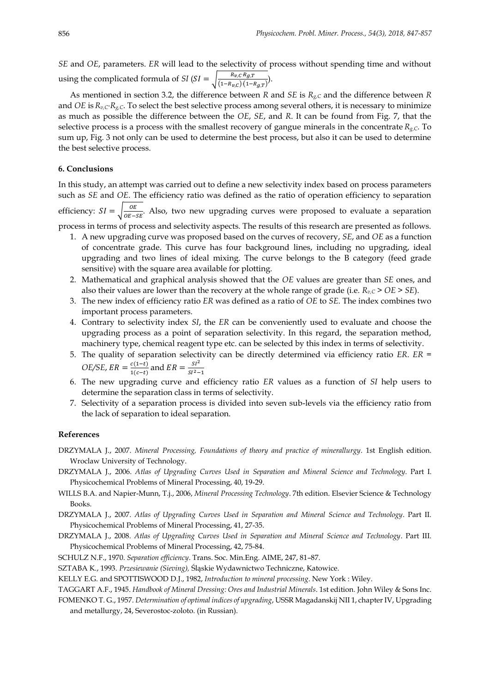*SE* and *OE*, parameters. *ER* will lead to the selectivity of process without spending time and without using the complicated formula of *SI* (*SI* =  $\sqrt{\frac{R_{v,C}R_{g,T}}{(1-R_{v,C})(1-1)}}$  $\frac{P_{v,C}P_{g,1}}{(1-R_{v,C})(1-R_{g,T})}.$ 

As mentioned in section 3.2, the difference between *R* and *SE* is *Rg,C* and the difference between *R* and *OE* is*Rv,CRg,C*. To select the best selective process among several others, it is necessary to minimize as much as possible the difference between the *OE*, *SE*, and *R*. It can be found from Fig. 7, that the selective process is a process with the smallest recovery of gangue minerals in the concentrate  $R_{g,C}$ . To sum up, Fig. 3 not only can be used to determine the best process, but also it can be used to determine the best selective process.

# **6. Conclusions**

In this study, an attempt was carried out to define a new selectivity index based on process parameters such as *SE* and *OE*. The efficiency ratio was defined as the ratio of operation efficiency to separation efficiency:  $SI = \sqrt{\frac{OE}{OE}}$  $\frac{C}{OE - SE}$ . Also, two new upgrading curves were proposed to evaluate a separation process in terms of process and selectivity aspects. The results of this research are presented as follows.

- 1. A new upgrading curve was proposed based on the curves of recovery, *SE*, and *OE* as a function of concentrate grade. This curve has four background lines, including no upgrading, ideal upgrading and two lines of ideal mixing. The curve belongs to the B category (feed grade sensitive) with the square area available for plotting.
- 2. Mathematical and graphical analysis showed that the *OE* values are greater than *SE* ones, and also their values are lower than the recovery at the whole range of grade (i.e. *Rv,C* > *OE* > *SE*).
- 3. The new index of efficiency ratio *ER* was defined as a ratio of *OE* to *SE*. The index combines two important process parameters.
- 4. Contrary to selectivity index *SI*, the *ER* can be conveniently used to evaluate and choose the upgrading process as a point of separation selectivity. In this regard, the separation method, machinery type, chemical reagent type etc. can be selected by this index in terms of selectivity.
- 5. The quality of separation selectivity can be directly determined via efficiency ratio *ER*. *ER = OE/SE*,  $ER = \frac{c(1-t)}{1(c-t)}$  $\frac{c(1-t)}{1(c-t)}$  and  $ER = \frac{SI^2}{SI^2-}$  $SI^2-1$
- 6. The new upgrading curve and efficiency ratio *ER* values as a function of *SI* help users to determine the separation class in terms of selectivity.
- 7. Selectivity of a separation process is divided into seven sub-levels via the efficiency ratio from the lack of separation to ideal separation.

#### **References**

DRZYMALA J., 2007. *Mineral Processing, Foundations of theory and practice of minerallurgy*. 1st English edition. Wroclaw University of Technology.

- DRZYMALA J., 2006. *Atlas of Upgrading Curves Used in Separation and Mineral Science and Technology*. Part I. Physicochemical Problems of Mineral Processing, 40, 19-29.
- WILLS B.A. and Napier-Munn, T.j., 2006, *Mineral Processing Technology*. 7th edition. Elsevier Science & Technology Books.
- DRZYMALA J., 2007. *Atlas of Upgrading Curves Used in Separation and Mineral Science and Technology*. Part II. Physicochemical Problems of Mineral Processing, 41, 27-35.
- DRZYMALA J., 2008. *Atlas of Upgrading Curves Used in Separation and Mineral Science and Technology*. Part III. Physicochemical Problems of Mineral Processing, 42, 75-84.
- SCHULZ N.F., 1970. *Separation efficiency*. Trans. Soc. Min.Eng. AIME, 247, 81–87.
- SZTABA K., 1993. *Przesiewanie (Sieving),* Śląskie Wydawnictwo Techniczne, Katowice.
- KELLY E.G. and SPOTTISWOOD D.J., 1982, *Introduction to mineral processing*. New York : Wiley.

TAGGART A.F., 1945. *Handbook of Mineral Dressing: Ores and Industrial Minerals*. 1st edition. John Wiley & Sons Inc.

FOMENKO T. G., 1957. *Determination of optimal indices of upgrading*, USSR Magadanskij NII 1, chapter IV, Upgrading and metallurgy, 24, Severostoc-zoloto. (in Russian).